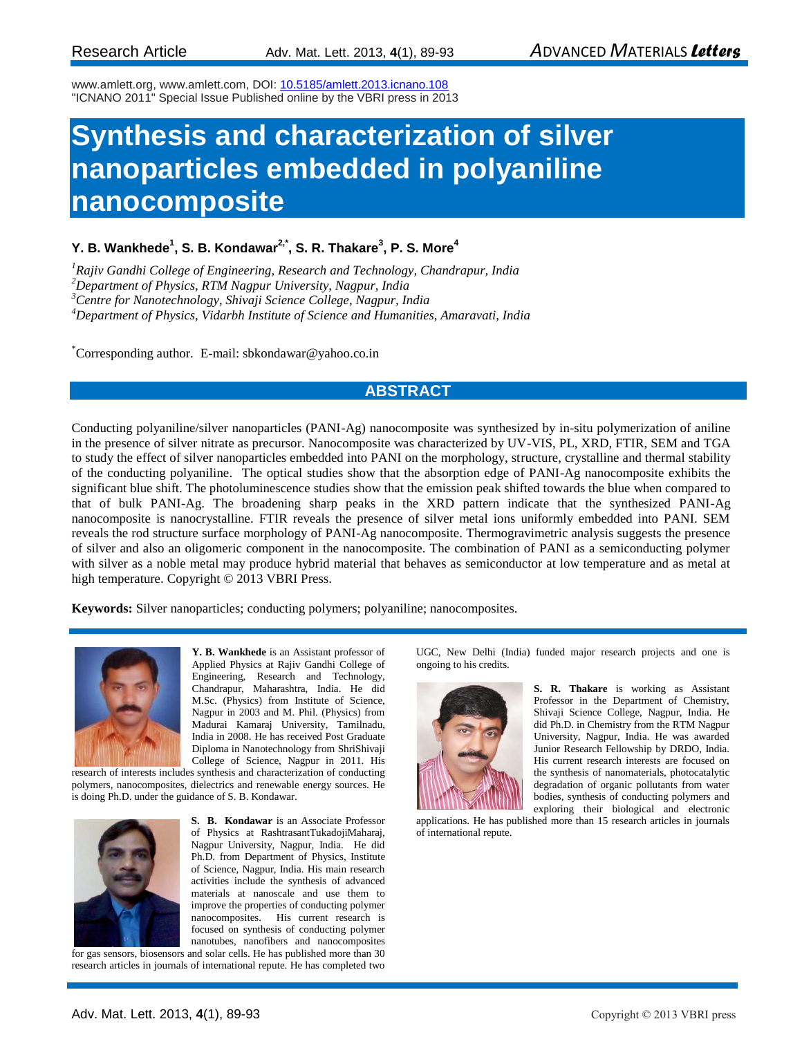www.amlett.org, www.amlett.com, DOI[: 10.5185/amlett.2013.icnano.108](http://dx.doi.org/10.5185/amlett.2012.icnano.108) "ICNANO 2011" Special Issue Published online by the VBRI press in 2013

# **Synthesis and characterization of silver nanoparticles embedded in polyaniline nanocomposite**

### **Y. B. Wankhede<sup>1</sup> , S. B. Kondawar2,\*, S. R. Thakare<sup>3</sup> , P. S. More<sup>4</sup>**

*Rajiv Gandhi College of Engineering, Research and Technology, Chandrapur, India Department of Physics, RTM Nagpur University, Nagpur, India Centre for Nanotechnology, Shivaji Science College, Nagpur, India Department of Physics, Vidarbh Institute of Science and Humanities, Amaravati, India*

\*Corresponding author. E-mail: [sbkondawar@yahoo.co.in](mailto:sbkondawar@yahoo.co.in)

## **ABSTRACT**

Conducting polyaniline/silver nanoparticles (PANI-Ag) nanocomposite was synthesized by in-situ polymerization of aniline in the presence of silver nitrate as precursor. Nanocomposite was characterized by UV-VIS, PL, XRD, FTIR, SEM and TGA to study the effect of silver nanoparticles embedded into PANI on the morphology, structure, crystalline and thermal stability of the conducting polyaniline. The optical studies show that the absorption edge of PANI-Ag nanocomposite exhibits the significant blue shift. The photoluminescence studies show that the emission peak shifted towards the blue when compared to that of bulk PANI-Ag. The broadening sharp peaks in the XRD pattern indicate that the synthesized PANI-Ag nanocomposite is nanocrystalline. FTIR reveals the presence of silver metal ions uniformly embedded into PANI. SEM reveals the rod structure surface morphology of PANI-Ag nanocomposite. Thermogravimetric analysis suggests the presence of silver and also an oligomeric component in the nanocomposite. The combination of PANI as a semiconducting polymer with silver as a noble metal may produce hybrid material that behaves as semiconductor at low temperature and as metal at high temperature. Copyright © 2013 VBRI Press.

**Keywords:** Silver nanoparticles; conducting polymers; polyaniline; nanocomposites.



**Y. B. Wankhede** is an Assistant professor of Applied Physics at Rajiv Gandhi College of Engineering, Research and Technology, Chandrapur, Maharashtra, India. He did M.Sc. (Physics) from Institute of Science, Nagpur in 2003 and M. Phil. (Physics) from Madurai Kamaraj University, Tamilnadu, India in 2008. He has received Post Graduate Diploma in Nanotechnology from ShriShivaji College of Science, Nagpur in 2011. His

research of interests includes synthesis and characterization of conducting polymers, nanocomposites, dielectrics and renewable energy sources. He is doing Ph.D. under the guidance of S. B. Kondawar.



**S. B. Kondawar** is an Associate Professor of Physics at RashtrasantTukadojiMaharaj, Nagpur University, Nagpur, India. He did Ph.D. from Department of Physics, Institute of Science, Nagpur, India. His main research activities include the synthesis of advanced materials at nanoscale and use them to improve the properties of conducting polymer nanocomposites. His current research is focused on synthesis of conducting polymer nanotubes, nanofibers and nanocomposites for gas sensors, biosensors and solar cells. He has published more than 30

research articles in journals of international repute. He has completed two

UGC, New Delhi (India) funded major research projects and one is ongoing to his credits.



**S. R. Thakare** is working as Assistant Professor in the Department of Chemistry, Shivaji Science College, Nagpur, India. He did Ph.D. in Chemistry from the RTM Nagpur University, Nagpur, India. He was awarded Junior Research Fellowship by DRDO, India. His current research interests are focused on the synthesis of nanomaterials, photocatalytic degradation of organic pollutants from water bodies, synthesis of conducting polymers and exploring their biological and electronic

applications. He has published more than 15 research articles in journals of international repute.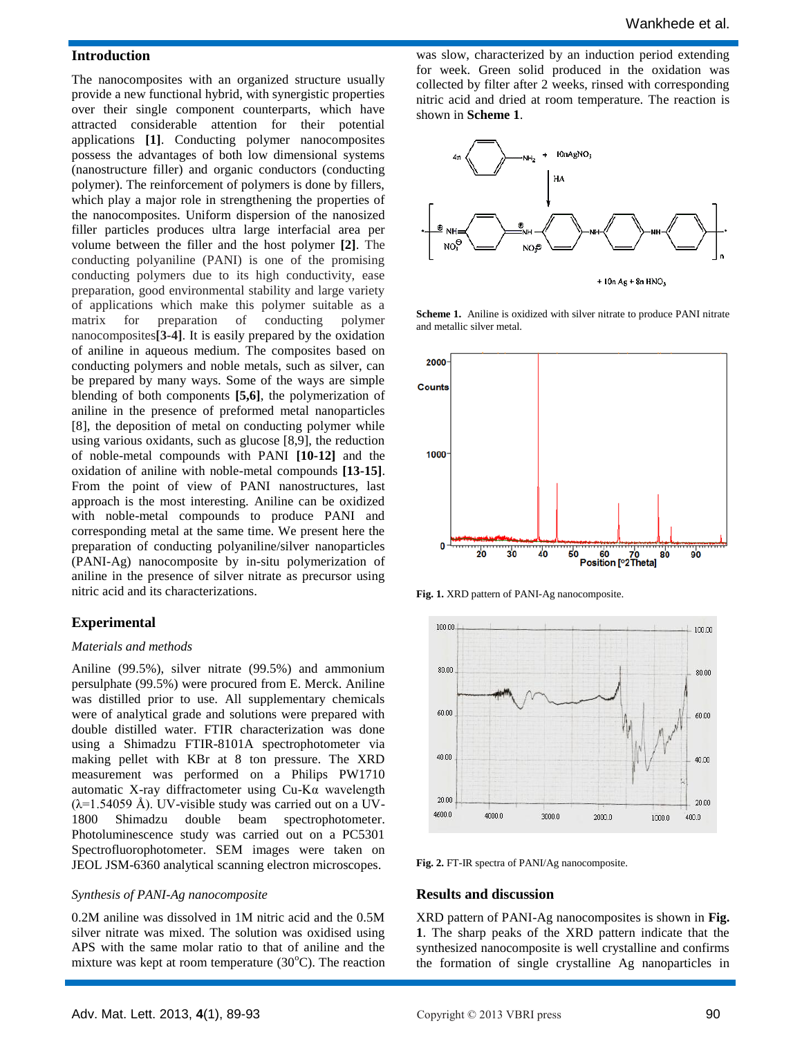#### **Introduction**

The nanocomposites with an organized structure usually provide a new functional hybrid, with synergistic properties over their single component counterparts, which have attracted considerable attention for their potential applications **[1]**. Conducting polymer nanocomposites possess the advantages of both low dimensional systems (nanostructure filler) and organic conductors (conducting polymer). The reinforcement of polymers is done by fillers, which play a major role in strengthening the properties of the nanocomposites. Uniform dispersion of the nanosized filler particles produces ultra large interfacial area per volume between the filler and the host polymer **[2]**. The conducting polyaniline (PANI) is one of the promising conducting polymers due to its high conductivity, ease preparation, good environmental stability and large variety of applications which make this polymer suitable as a matrix for preparation of conducting polymer nanocomposites**[3-4]**. It is easily prepared by the oxidation of aniline in aqueous medium. The composites based on conducting polymers and noble metals, such as silver, can be prepared by many ways. Some of the ways are simple blending of both components **[5,6]**, the polymerization of aniline in the presence of preformed metal nanoparticles [8], the deposition of metal on conducting polymer while using various oxidants, such as glucose [8,9], the reduction of noble-metal compounds with PANI **[10-12]** and the oxidation of aniline with noble-metal compounds **[13-15]**. From the point of view of PANI nanostructures, last approach is the most interesting. Aniline can be oxidized with noble-metal compounds to produce PANI and corresponding metal at the same time. We present here the preparation of conducting polyaniline/silver nanoparticles (PANI-Ag) nanocomposite by in-situ polymerization of aniline in the presence of silver nitrate as precursor using nitric acid and its characterizations.

#### **Experimental**

#### *Materials and methods*

Aniline (99.5%), silver nitrate (99.5%) and ammonium persulphate (99.5%) were procured from E. Merck. Aniline was distilled prior to use. All supplementary chemicals were of analytical grade and solutions were prepared with double distilled water. FTIR characterization was done using a Shimadzu FTIR-8101A spectrophotometer via making pellet with KBr at 8 ton pressure. The XRD measurement was performed on a Philips PW1710 automatic X-ray diffractometer using Cu-Kα wavelength  $(\lambda=1.54059 \text{ Å})$ . UV-visible study was carried out on a UV-1800 Shimadzu double beam spectrophotometer. Photoluminescence study was carried out on a PC5301 Spectrofluorophotometer. SEM images were taken on JEOL JSM-6360 analytical scanning electron microscopes.

#### *Synthesis of PANI-Ag nanocomposite*

0.2M aniline was dissolved in 1M nitric acid and the 0.5M silver nitrate was mixed. The solution was oxidised using APS with the same molar ratio to that of aniline and the mixture was kept at room temperature  $(30^{\circ}C)$ . The reaction

was slow, characterized by an induction period extending for week. Green solid produced in the oxidation was collected by filter after 2 weeks, rinsed with corresponding nitric acid and dried at room temperature. The reaction is shown in **Scheme 1**.



**Scheme 1.** Aniline is oxidized with silver nitrate to produce PANI nitrate and metallic silver metal.



**Fig. 1.** XRD pattern of PANI-Ag nanocomposite.



**Fig. 2.** FT-IR spectra of PANI/Ag nanocomposite.

#### **Results and discussion**

XRD pattern of PANI-Ag nanocomposites is shown in **Fig. 1**. The sharp peaks of the XRD pattern indicate that the synthesized nanocomposite is well crystalline and confirms the formation of single crystalline Ag nanoparticles in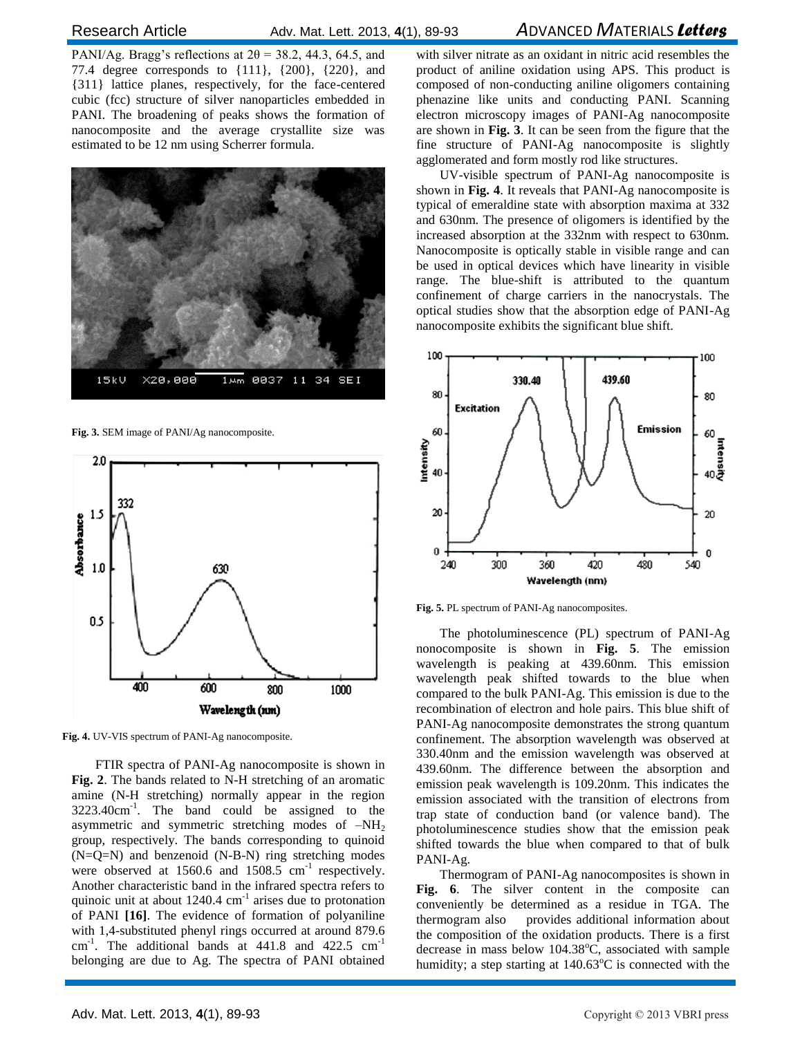# Research Article Adv. Mat. Lett. 2013, **4**(1), 89-93 *A*DVANCED *M*ATERIALS *Letters*

PANI/Ag. Bragg's reflections at  $2\theta = 38.2$ , 44.3, 64.5, and 77.4 degree corresponds to {111}, {200}, {220}, and {311} lattice planes, respectively, for the face-centered cubic (fcc) structure of silver nanoparticles embedded in PANI. The broadening of peaks shows the formation of nanocomposite and the average crystallite size was estimated to be 12 nm using Scherrer formula.



**Fig. 3.** SEM image of PANI/Ag nanocomposite.



**Fig. 4.** UV-VIS spectrum of PANI-Ag nanocomposite.

FTIR spectra of PANI-Ag nanocomposite is shown in **Fig. 2**. The bands related to N-H stretching of an aromatic amine (N-H stretching) normally appear in the region 3223.40cm-1 . The band could be assigned to the asymmetric and symmetric stretching modes of  $-NH<sub>2</sub>$ group, respectively. The bands corresponding to quinoid (N=Q=N) and benzenoid (N-B-N) ring stretching modes were observed at  $1560.6$  and  $1508.5$  cm<sup>-1</sup> respectively. Another characteristic band in the infrared spectra refers to quinoic unit at about  $1240.4 \text{ cm}^{-1}$  arises due to protonation of PANI **[16]**. The evidence of formation of polyaniline with 1,4-substituted phenyl rings occurred at around 879.6  $cm<sup>-1</sup>$ . The additional bands at 441.8 and 422.5  $cm<sup>-1</sup>$ belonging are due to Ag. The spectra of PANI obtained

with silver nitrate as an oxidant in nitric acid resembles the product of aniline oxidation using APS. This product is composed of non-conducting aniline oligomers containing phenazine like units and conducting PANI. Scanning electron microscopy images of PANI-Ag nanocomposite are shown in **Fig. 3**. It can be seen from the figure that the fine structure of PANI-Ag nanocomposite is slightly agglomerated and form mostly rod like structures.

UV-visible spectrum of PANI-Ag nanocomposite is shown in **Fig. 4**. It reveals that PANI-Ag nanocomposite is typical of emeraldine state with absorption maxima at 332 and 630nm. The presence of oligomers is identified by the increased absorption at the 332nm with respect to 630nm. Nanocomposite is optically stable in visible range and can be used in optical devices which have linearity in visible range. The blue-shift is attributed to the quantum confinement of charge carriers in the nanocrystals. The optical studies show that the absorption edge of PANI-Ag nanocomposite exhibits the significant blue shift.



**Fig. 5.** PL spectrum of PANI-Ag nanocomposites.

The photoluminescence (PL) spectrum of PANI-Ag nonocomposite is shown in **Fig. 5**. The emission wavelength is peaking at 439.60nm. This emission wavelength peak shifted towards to the blue when compared to the bulk PANI-Ag. This emission is due to the recombination of electron and hole pairs. This blue shift of PANI-Ag nanocomposite demonstrates the strong quantum confinement. The absorption wavelength was observed at 330.40nm and the emission wavelength was observed at 439.60nm. The difference between the absorption and emission peak wavelength is 109.20nm. This indicates the emission associated with the transition of electrons from trap state of conduction band (or valence band). The photoluminescence studies show that the emission peak shifted towards the blue when compared to that of bulk PANI-Ag.

Thermogram of PANI-Ag nanocomposites is shown in **Fig. 6**. The silver content in the composite can conveniently be determined as a residue in TGA. The thermogram also provides additional information about the composition of the oxidation products. There is a first decrease in mass below  $104.38^{\circ}$ C, associated with sample humidity; a step starting at  $140.63^{\circ}$ C is connected with the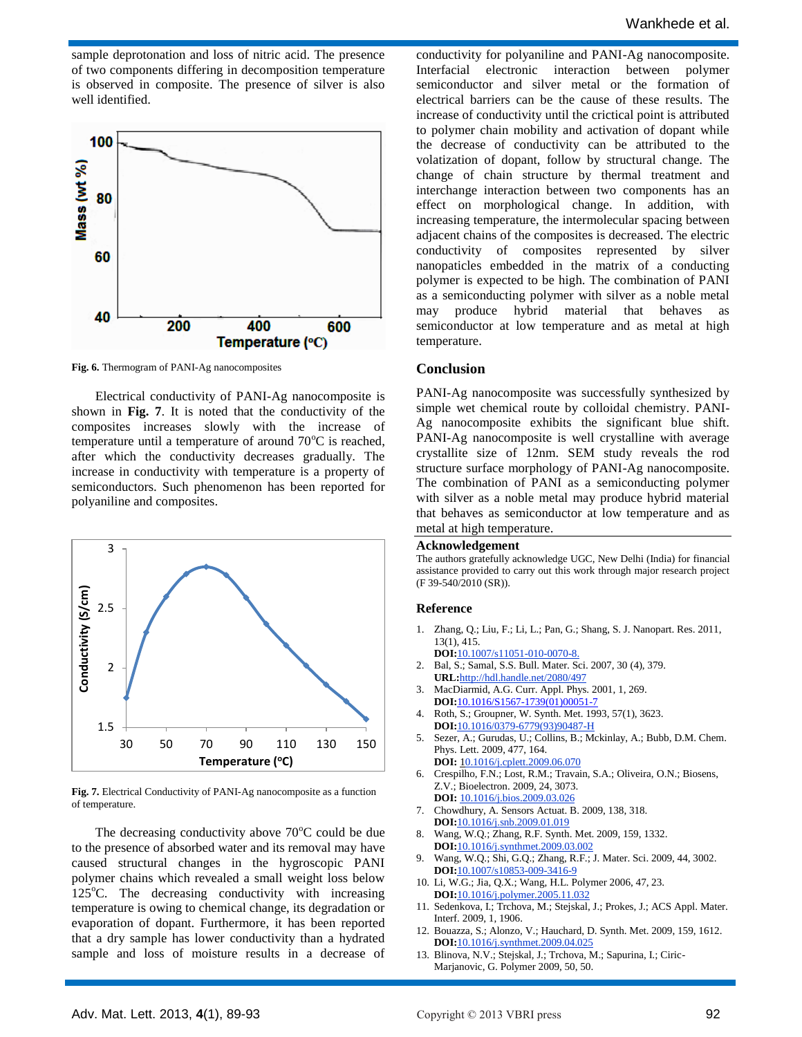sample deprotonation and loss of nitric acid. The presence of two components differing in decomposition temperature is observed in composite. The presence of silver is also well identified.



**Fig. 6.** Thermogram of PANI-Ag nanocomposites

Electrical conductivity of PANI-Ag nanocomposite is shown in **Fig. 7**. It is noted that the conductivity of the composites increases slowly with the increase of temperature until a temperature of around  $70^{\circ}$ C is reached, after which the conductivity decreases gradually. The increase in conductivity with temperature is a property of semiconductors. Such phenomenon has been reported for polyaniline and composites.



**Fig. 7.** Electrical Conductivity of PANI-Ag nanocomposite as a function of temperature.

The decreasing conductivity above  $70^{\circ}$ C could be due to the presence of absorbed water and its removal may have caused structural changes in the hygroscopic PANI polymer chains which revealed a small weight loss below  $125^{\circ}$ C. The decreasing conductivity with increasing temperature is owing to chemical change, its degradation or evaporation of dopant. Furthermore, it has been reported that a dry sample has lower conductivity than a hydrated sample and loss of moisture results in a decrease of

conductivity for polyaniline and PANI-Ag nanocomposite. Interfacial electronic interaction between polymer semiconductor and silver metal or the formation of electrical barriers can be the cause of these results. The increase of conductivity until the crictical point is attributed to polymer chain mobility and activation of dopant while the decrease of conductivity can be attributed to the volatization of dopant, follow by structural change. The change of chain structure by thermal treatment and interchange interaction between two components has an effect on morphological change. In addition, with increasing temperature, the intermolecular spacing between adjacent chains of the composites is decreased. The electric conductivity of composites represented by silver nanopaticles embedded in the matrix of a conducting polymer is expected to be high. The combination of PANI as a semiconducting polymer with silver as a noble metal may produce hybrid material that behaves as semiconductor at low temperature and as metal at high temperature.

#### **Conclusion**

PANI-Ag nanocomposite was successfully synthesized by simple wet chemical route by colloidal chemistry. PANI-Ag nanocomposite exhibits the significant blue shift. PANI-Ag nanocomposite is well crystalline with average crystallite size of 12nm. SEM study reveals the rod structure surface morphology of PANI-Ag nanocomposite. The combination of PANI as a semiconducting polymer with silver as a noble metal may produce hybrid material that behaves as semiconductor at low temperature and as metal at high temperature.

#### **Acknowledgement**

The authors gratefully acknowledge UGC, New Delhi (India) for financial assistance provided to carry out this work through major research project (F 39-540/2010 (SR)).

#### **Reference**

- 1. Zhang, Q.; Liu, F.; Li, L.; Pan, G.; Shang, S. J. Nanopart. Res. 2011, 13(1), 415.
- **DOI:**10.1007/s11051-010-0070-8. 2. Bal, S.; Samal, S.S. Bull. Mater. Sci. 2007, 30 (4), 379. **URL:**http://hdl.handle.net/2080/497
- 3. MacDiarmid, A.G. Curr. Appl. Phys. 2001, 1, 269. **DOI:**10.1016/S1567-1739(01)00051-7
- 4. Roth, S.; Groupner, W. Synth. Met. 1993, 57(1), 3623. **DOI:**10.1016/0379-6779(93)90487-H
- 5. Sezer, A.; Gurudas, U.; Collins, B.; Mckinlay, A.; Bubb, D.M. Chem. Phys. Lett. 2009, 477, 164. **DOI:** [10.1016/j.cplett.2009.06.070](http://dx.doi.org/10.1016/j.cplett.2009.06.070)
- 6. Crespilho, F.N.; Lost, R.M.; Travain, S.A.; Oliveira, O.N.; Biosens, Z.V.; Bioelectron. 2009, 24, 3073. **DOI:** [10.1016/j.bios.2009.03.026](http://dx.doi.org/10.1016/j.bios.2009.03.026)
- 7. Chowdhury, A. Sensors Actuat. B. 2009, 138, 318. **DOI:**[10.1016/j.snb.2009.01.019](http://dx.doi.org/10.1016/j.snb.2009.01.019)
- 8. Wang, W.Q.; Zhang, R.F. Synth. Met. 2009, 159, 1332. **DOI:**[10.1016/j.synthmet.2009.03.002](http://dx.doi.org/10.1016/j.synthmet.2009.03.002)
- 9. Wang, W.Q.; Shi, G.Q.; Zhang, R.F.; J. Mater. Sci. 2009, 44, 3002. **DOI:**10.1007/s10853-009-3416-9
- 10. Li, W.G.; Jia, Q.X.; Wang, H.L. Polymer 2006, 47, 23. **DOI:**[10.1016/j.polymer.2005.11.032](http://dx.doi.org/10.1016/j.polymer.2005.11.032)
- 11. Sedenkova, I.; Trchova, M.; Stejskal, J.; Prokes, J.; ACS Appl. Mater. Interf. 2009, 1, 1906.
- 12. Bouazza, S.; Alonzo, V.; Hauchard, D. Synth. Met. 2009, 159, 1612. **DOI:**[10.1016/j.synthmet.2009.04.025](http://dx.doi.org/10.1016/j.synthmet.2009.04.025)
- 13. Blinova, N.V.; Stejskal, J.; Trchova, M.; Sapurina, I.; Ciric-Marjanovic, G. Polymer 2009, 50, 50.